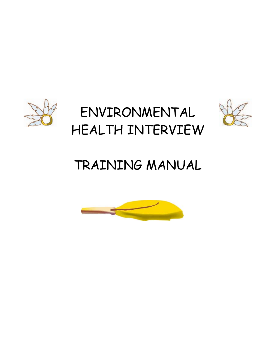

# TRAINING MANUAL

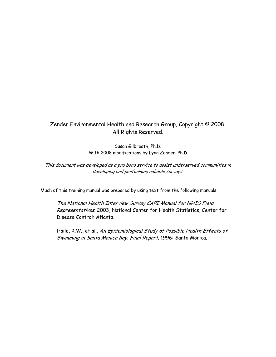### Zender Environmental Health and Research Group, Copyright © 2008, All Rights Reserved.

Susan Gilbreath, Ph.D. With 2008 modifications by Lynn Zender, Ph.D

This document was developed as a pro bono service to assist underserved communities in developing and performing reliable surveys.

Much of this training manual was prepared by using text from the following manuals:

The National Health Interview Survey CAPI Manual for NHIS Field Representatives. 2003, National Center for Health Statistics, Center for Disease Control: Atlanta.

Haile, R.W., et al., An Epidemiological Study of Possible Health Effects of Swimming in Santa Monica Bay, Final Report. 1996: Santa Monica.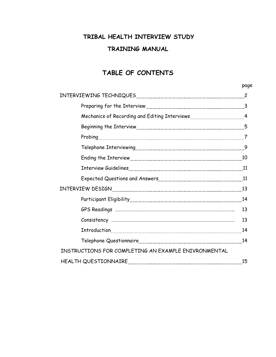## **TRIBAL HEALTH INTERVIEW STUDY TRAINING MANUAL**

### **TABLE OF CONTENTS**

| Mechanics of Recording and Editing Interviews [11, 11, 2014] 4 |    |
|----------------------------------------------------------------|----|
|                                                                |    |
|                                                                |    |
|                                                                |    |
|                                                                |    |
|                                                                |    |
|                                                                |    |
|                                                                |    |
|                                                                |    |
|                                                                |    |
|                                                                | 13 |
|                                                                |    |
|                                                                |    |
| INSTRUCTIONS FOR COMPLETING AN EXAMPLE ENIVRONMENTAL           |    |
|                                                                | 15 |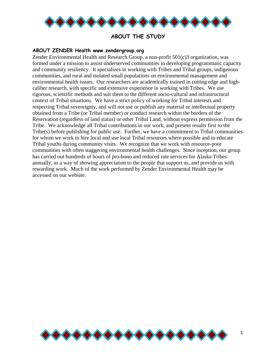

### **ABOUT THE STUDY**

#### **ABOUT ZENDER Health www.zendergroup.org**

Zender Environmental Health and Research Group, a non-profit 501(c)3 organization, was formed under a mission to assist underserved communities in developing programmatic capacity and community resiliency. It specializes in working with Tribes and Tribal groups, indigenous communities, and rural and isolated small populations on environmental management and environmental health issues. Our researchers are academically trained in cutting edge and highcaliber research, with specific and extensive experience in working with Tribes. We use rigorous, scientific methods and suit them to the different socio-cultural and infrastructural context of Tribal situations. We have a strict policy of working for Tribal interests and respecting Tribal sovereignty, and will not use or publish any material or intellectual property obtained from a Tribe (or Tribal member) or conduct research within the borders of the Reservation (regardless of land status) or other Tribal Land, without express permission from the Tribe. We acknowledge all Tribal contributions in our work, and present results first to the Tribe(s) before publishing for public use. Further, we have a commitment to Tribal communities for whom we work to hire local and use local Tribal resources where possible and to educate Tribal youths during community visits. We recognize that we work with resource-poor communities with often staggering environmental health challenges. Since inception, our group has carried out hundreds of hours of pro-bono and reduced rate services for Alaska Tribes annually, as a way of showing appreciation to the people that support us, and provide us with rewarding work. Much of the work performed by Zender Environmental Health may be accessed on our website.

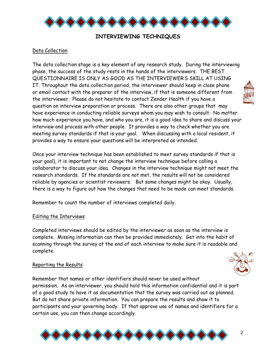

### **INTERVIEWING TECHNIQUES**

### Data Collection

The data collection stage is a key element of any research study. During the interviewing phase, the success of the study rests in the hands of the interviewers. THE BEST QUESTIONNAIRE IS ONLY AS GOOD AS THE INTERVIEWER'S SKILL AT USING IT. Throughout the data collection period, the interviewer should keep in close phone or email contact with the preparer of the interview, if that is someone different from the interviewer. Please do not hesitate to contact Zender Health if you have a question on interview preparation or process. There are also other groups that may have experience in conducting reliable surveys whom you may wish to consult. No matter how much experience you have, and who you are, it is a good idea to share and discuss your interview and process with other people. It provides a way to check whether you are meeting survey standards if that is your goal. When discussing with a local resident, it provides a way to ensure your questions will be interpreted as intended.

Once your interview technique has been established to meet survey standards if that is your goal), it is important to not change the interview technique before calling a collaborator to discuss your idea. Changes in the interview technique might not meet the research standards. If the standards are not met, the results will not be considered reliable by agencies or scientist reviewers. But some changes might be okay. Usually, there is a way to figure out how the changes that need to be made can meet standards.

Remember to count the number of interviews completed daily.

#### Editing the Interviews

Completed interviews should be edited by the interviewer as soon as the interview is complete. Missing information can then be provided immediately. Get into the habit of scanning through the survey at the end of each interview to make sure it is readable and complete.

#### Reporting the Results

Remember that names or other identifiers should never be used without permission. As an interviewer, you should hold this information confidential and it is part of a good study to have it as documentation that the survey was carried out as planned. But do not share private information. You can prepare the results and show it to participants and your governing body. If that approve use of names and identifiers for a certain use, you can then change accordingly.





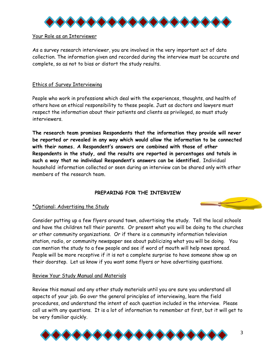

### Your Role as an Interviewer

As a survey research interviewer, you are involved in the very important act of data collection. The information given and recorded during the interview must be accurate and complete, so as not to bias or distort the study results.

### Ethics of Survey Interviewing

People who work in professions which deal with the experiences, thoughts, and health of others have an ethical responsibility to these people. Just as doctors and lawyers must respect the information about their patients and clients as privileged, so must study interviewers.

**The research team promises Respondents that the information they provide will never be reported or revealed in any way which would allow the information to be connected with their names. A Respondent's answers are combined with those of other Respondents in the study, and the results are reported in percentages and totals in such a way that no individual Respondent's answers can be identified.** Individual household information collected or seen during an interview can be shared only with other members of the research team.

### **PREPARING FOR THE INTERVIEW**

### \*Optional: Advertising the Study

Consider putting up a few flyers around town, advertising the study. Tell the local schools and have the children tell their parents. Or present what you will be doing to the churches or other community organizations. Or if there is a community information television station, radio, or community newspaper see about publicizing what you will be doing. You can mention the study to a few people and see if word of mouth will help news spread. People will be more receptive if it is not a complete surprise to have someone show up on their doorstep. Let us know if you want some flyers or have advertising questions.

### Review Your Study Manual and Materials

Review this manual and any other study materials until you are sure you understand all aspects of your job. Go over the general principles of interviewing, learn the field procedures, and understand the intent of each question included in the interview. Please call us with any questions. It is a lot of information to remember at first, but it will get to be very familiar quickly.

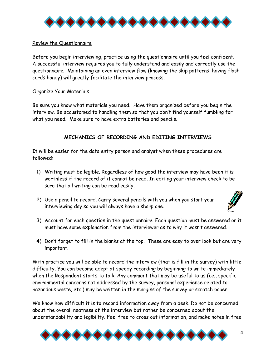

### Review the Questionnaire

Before you begin interviewing, practice using the questionnaire until you feel confident. A successful interview requires you to fully understand and easily and correctly use the questionnaire. Maintaining an even interview flow (knowing the skip patterns, having flash cards handy) will greatly facilitate the interview process.

### Organize Your Materials

Be sure you know what materials you need. Have them organized before you begin the interview. Be accustomed to handling them so that you don't find yourself fumbling for what you need. Make sure to have extra batteries and pencils.

### **MECHANICS OF RECORDING AND EDITING INTERVIEWS**

It will be easier for the data entry person and analyst when these procedures are followed:

- 1) Writing must be legible. Regardless of how good the interview may have been it is worthless if the record of it cannot be read. In editing your interview check to be sure that all writing can be read easily.
- 2) Use a pencil to record. Carry several pencils with you when you start your interviewing day so you will always have a sharp one.



- 3) Account for each question in the questionnaire. Each question must be answered or it must have some explanation from the interviewer as to why it wasn't answered.
- 4) Don't forget to fill in the blanks at the top. These are easy to over look but are very important.

With practice you will be able to record the interview (that is fill in the survey) with little difficulty. You can become adept at speedy recording by beginning to write immediately when the Respondent starts to talk. Any comment that may be useful to us (i.e., specific environmental concerns not addressed by the survey, personal experience related to hazardous waste, etc.) may be written in the margins of the survey or scratch paper.

We know how difficult it is to record information away from a desk. Do not be concerned about the overall neatness of the interview but rather be concerned about the understandability and legibility. Feel free to cross out information, and make notes in free

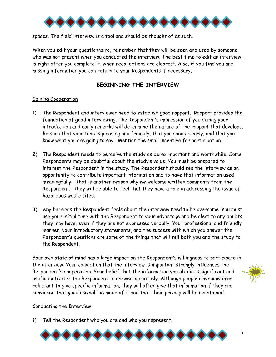

spaces. The field interview is a tool and should be thought of as such.

When you edit your questionnaire, remember that they will be seen and used by someone who was not present when you conducted the interview. The best time to edit an interview is right after you complete it, when recollections are clearest. Also, if you find you are missing information you can return to your Respondents if necessary.

### **BEGINNING THE INTERVIEW**

### Gaining Cooperation

- 1) The Respondent and interviewer need to establish good rapport. Rapport provides the foundation of good interviewing. The Respondent's impression of you during your introduction and early remarks will determine the nature of the rapport that develops. Be sure that your tone is pleasing and friendly, that you speak clearly, and that you know what you are going to say. Mention the small incentive for participation.
- 2) The Respondent needs to perceive the study as being important and worthwhile. Some Respondents may be doubtful about the study's value. You must be prepared to interest the Respondent in the study. The Respondent should see the interview as an opportunity to contribute important information and to have that information used meaningfully. That is another reason why we welcome written comments from the Respondent. They will be able to feel that they have a role in addressing the issue of hazardous waste sites.
- 3) Any barriers the Respondent feels about the interview need to be overcome. You must use your initial time with the Respondent to your advantage and be alert to any doubts they may have, even if they are not expressed verbally. Your professional and friendly manner, your introductory statements, and the success with which you answer the Respondent's questions are some of the things that will sell both you and the study to the Respondent.

Your own state of mind has a large impact on the Respondent's willingness to participate in the interview. Your conviction that the interview is important strongly influences the Respondent's cooperation. Your belief that the information you obtain is significant and useful motivates the Respondent to answer accurately. Although people are sometimes reluctant to give specific information, they will often give that information if they are convinced that good use will be made of it and that their privacy will be maintained.



#### Conducting the Interview

1) Tell the Respondent who you are and who you represent.

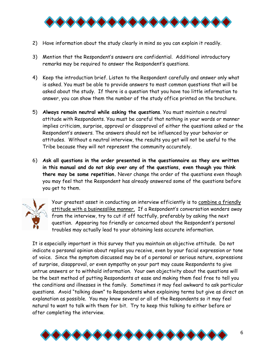

- 2) Have information about the study clearly in mind so you can explain it readily.
- 3) Mention that the Respondent's answers are confidential. Additional introductory remarks may be required to answer the Respondent's questions.
- 4) Keep the introduction brief. Listen to the Respondent carefully and answer only what is asked. You must be able to provide answers to most common questions that will be asked about the study. If there is a question that you have too little information to answer, you can show them the number of the study office printed on the brochure.
- 5) **Always remain neutral while asking the questions**. You must maintain a neutral attitude with Respondents. You must be careful that nothing in your words or manner implies criticism, surprise, approval or disapproval of either the questions asked or the Respondent's answers. The answers should not be influenced by your behavior or attitudes. Without a neutral interview, the results you get will not be useful to the Tribe because they will not represent the community accurately.
- 6) **Ask all questions in the order presented in the questionnaire as they are written in this manual and do not skip over any of the questions, even though you think there may be some repetition.** Never change the order of the questions even though you may feel that the Respondent has already answered some of the questions before you get to them.



Your greatest asset in conducting an interview efficiently is to combine a friendly attitude with a businesslike manner. If a Respondent's conversation wanders away from the interview, try to cut if off tactfully, preferably by asking the next question. Appearing too friendly or concerned about the Respondent's personal troubles may actually lead to your obtaining less accurate information.

It is especially important in this survey that you maintain an objective attitude. Do not indicate a personal opinion about replies you receive, even by your facial expression or tone of voice. Since the symptom discussed may be of a personal or serious nature, expressions of surprise, disapproval, or even sympathy on your part may cause Respondents to give untrue answers or to withhold information. Your own objectivity about the questions will be the best method of putting Respondents at ease and making them feel free to tell you the conditions and illnesses in the family. Sometimes it may feel awkward to ask particular questions. Avoid "talking down" to Respondents when explaining terms but give as direct an explanation as possible. You may know several or all of the Respondents so it may feel natural to want to talk with them for bit. Try to keep this talking to either before or after completing the interview.

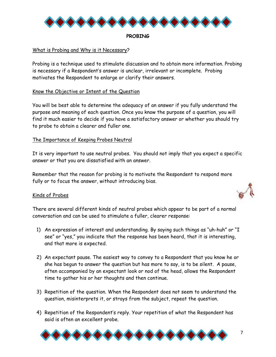

#### **PROBING**

### What is Probing and Why is it Necessary?

Probing is a technique used to stimulate discussion and to obtain more information. Probing is necessary if a Respondent's answer is unclear, irrelevant or incomplete. Probing motivates the Respondent to enlarge or clarify their answers.

### Know the Objective or Intent of the Question

You will be best able to determine the adequacy of an answer if you fully understand the purpose and meaning of each question. Once you know the purpose of a question, you will find it much easier to decide if you have a satisfactory answer or whether you should try to probe to obtain a clearer and fuller one.

### The Importance of Keeping Probes Neutral

It is very important to use neutral probes. You should not imply that you expect a specific answer or that you are dissatisfied with an answer.

Remember that the reason for probing is to motivate the Respondent to respond more fully or to focus the answer, without introducing bias.

#### Kinds of Probes

There are several different kinds of neutral probes which appear to be part of a normal conversation and can be used to stimulate a fuller, clearer response:

- 1) An expression of interest and understanding. By saying such things as "uh-huh" or "I see" or "yes," you indicate that the response has been heard, that it is interesting, and that more is expected.
- 2) An expectant pause. The easiest way to convey to a Respondent that you know he or she has begun to answer the question but has more to say, is to be silent. A pause, often accompanied by an expectant look or nod of the head, allows the Respondent time to gather his or her thoughts and then continue.
- 3) Repetition of the question. When the Respondent does not seem to understand the question, misinterprets it, or strays from the subject, repeat the question.
- 4) Repetition of the Respondent's reply. Your repetition of what the Respondent has said is often an excellent probe.

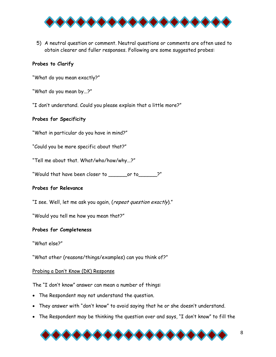

5) A neutral question or comment. Neutral questions or comments are often used to obtain clearer and fuller responses. Following are some suggested probes:

### **Probes to Clarify**

"What do you mean exactly?"

"What do you mean by...?"

"I don't understand. Could you please explain that a little more?"

### **Probes for Specificity**

"What in particular do you have in mind?"

"Could you be more specific about that?"

"Tell me about that. What/who/how/why...?"

"Would that have been closer to \_\_\_\_\_\_or to\_\_\_\_\_\_?"

#### **Probes for Relevance**

"I see. Well, let me ask you again, (repeat question exactly)."

"Would you tell me how you mean that?"

#### **Probes for Completeness**

"What else?"

"What other (reasons/things/examples) can you think of?"

#### Probing a Don't Know (DK) Response

The "I don't know" answer can mean a number of things:

- The Respondent may not understand the question.
- They answer with "don't know" to avoid saying that he or she doesn't understand.
- The Respondent may be thinking the question over and says, "I don't know" to fill the

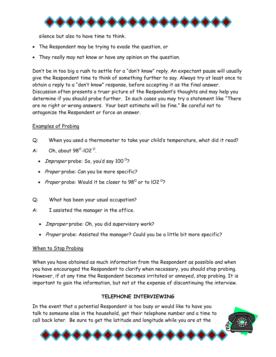

silence but also to have time to think.

- The Respondent may be trying to evade the question, or
- They really may not know or have any opinion on the question.

Don't be in too big a rush to settle for a "don't know" reply. An expectant pause will usually give the Respondent time to think of something further to say. Always try at least once to obtain a reply to a "don't know" response, before accepting it as the final answer. Discussion often presents a truer picture of the Respondent's thoughts and may help you determine if you should probe further. In such cases you may try a statement like "There are no right or wrong answers. Your best estimate will be fine." Be careful not to antagonize the Respondent or force an answer.

### Examples of Probing

- Q: When you used a thermometer to take your child's temperature, what did it read?
- A: Oh, about  $98^\circ$ -IO2<sup>o</sup>.
	- *Improper* probe: So, you'd say 100 $^{\circ}$ ?
	- Proper probe: Can you be more specific?
	- Proper probe: Would it be closer to 98 $^{\circ}$  or to IO2 $^{\circ}$ ?
- Q: What has been your usual occupation?
- A: I assisted the manager in the office.
	- *Improper* probe: Oh, you did supervisory work?
	- Proper probe: Assisted the manager? Could you be a little bit more specific?

### When to Stop Probing

When you have obtained as much information from the Respondent as possible and when you have encouraged the Respondent to clarify when necessary, you should stop probing. However, if at any time the Respondent becomes irritated or annoyed, stop probing. It is important to gain the information, but not at the expense of discontinuing the interview.

### **TELEPHONE INTERVIEWING**

In the event that a potential Respondent is too busy or would like to have you talk to someone else in the household, get their telephone number and a time to call back later. Be sure to get the latitude and longitude while you are at the

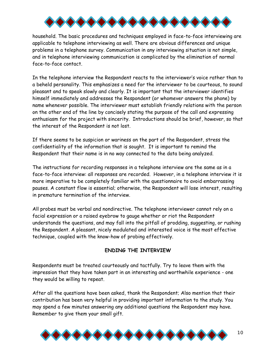

household. The basic procedures and techniques employed in face-to-face interviewing are applicable to telephone interviewing as well. There are obvious differences and unique problems in a telephone survey. Communication in any interviewing situation is not simple, and in telephone interviewing communication is complicated by the elimination of normal face-to-face contact.

In the telephone interview the Respondent reacts to the interviewer's voice rather than to a beheld personality. This emphasizes a need for the interviewer to be courteous, to sound pleasant and to speak slowly and clearly. It is important that the interviewer identifies himself immediately and addresses the Respondent (or whomever answers the phone) by name whenever possible. The interviewer must establish friendly relations with the person on the other end of the line by concisely stating the purpose of the call and expressing enthusiasm for the project with sincerity. Introductions should be brief, however, so that the interest of the Respondent is not lost.

If there seems to be suspicion or wariness on the part of the Respondent, stress the confidentiality of the information that is sought. It is important to remind the Respondent that their name is in no way connected to the data being analyzed.

The instructions for recording responses in a telephone interview are the same as in a face-to-face interview: all responses are recorded. However, in a telephone interview it is more imperative to be completely familiar with the questionnaire to avoid embarrassing pauses. A constant flow is essential; otherwise, the Respondent will lose interest, resulting in premature termination of the interview.

All probes must be verbal and nondirective. The telephone interviewer cannot rely on a facial expression or a raised eyebrow to gauge whether or riot the Respondent understands the questions, and may fall into the pitfall of prodding, suggesting, or rushing the Respondent. A pleasant, nicely modulated and interested voice is the most effective technique, coupled with the know-how of probing effectively.

### **ENDING THE INTERVIEW**

Respondents must be treated courteously and tactfully. Try to leave them with the impression that they have taken part in an interesting and worthwhile experience - one they would be willing to repeat.

After all the questions have been asked, thank the Respondent; Also mention that their contribution has been very helpful in providing important information to the study. You may spend a few minutes answering any additional questions the Respondent may have. Remember to give them your small gift.

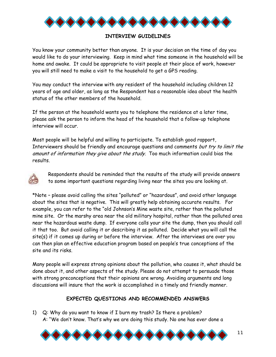

### **INTERVIEW GUIDELINES**

You know your community better than anyone. It is your decision on the time of day you would like to do your interviewing. Keep in mind what time someone in the household will be home and awake. It could be appropriate to visit people at their place of work, however you will still need to make a visit to the household to get a GPS reading.

You may conduct the interview with any resident of the household including children 12 years of age and older, as long as the Respondent has a reasonable idea about the health status of the other members of the household.

If the person at the household wants you to telephone the residence at a later time, please ask the person to inform the head of the household that a follow-up telephone interview will occur.

Most people will be helpful and willing to participate. To establish good rapport, Interviewers should be friendly and encourage questions and comments but try to limit the amount of information they give about the study. Too much information could bias the results.



Respondents should be reminded that the results of the study will provide answers to some important questions regarding living near the sites you are looking at.

\*Note – please avoid calling the sites "polluted" or "hazardous", and avoid other language about the sites that is negative. This will greatly help obtaining accurate results. For example, you can refer to the "old Johnson's Mine waste site, rather than the polluted mine site. Or the marshy area near the old military hospital, rather than the polluted area near the hazardous waste dump. If everyone calls your site the dump, then you should call it that too. But avoid calling it or describing it as polluted. Decide what you will call the site(s) if it comes up during or before the interview. After the interviews are over you can then plan an effective education program based on people's true conceptions of the site and its risks.

Many people will express strong opinions about the pollution, who causes it, what should be done about it, and other aspects of the study. Please do not attempt to persuade those with strong preconceptions that their opinions are wrong. Avoiding arguments and long discussions will insure that the work is accomplished in a timely and friendly manner.

### **EXPECTED QUESTIONS AND RECOMMENDED ANSWERS**

1) Q: Why do you want to know if I burn my trash? Is there a problem? A: "We don't know. That's why we are doing this study. No one has ever done a

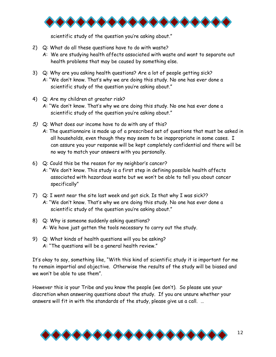

scientific study of the question you're asking about."

- 2) Q: What do all these questions have to do with waste?
	- A: We are studying health affects associated with waste and want to separate out health problems that may be caused by something else.
- 3) Q: Why are you asking health questions? Are a lot of people getting sick? A: "We don't know. That's why we are doing this study. No one has ever done a scientific study of the question you're asking about."
- 4) Q: Are my children at greater risk? A: "We don't know. That's why we are doing this study. No one has ever done a scientific study of the question you're asking about."
- 5) Q: What does our income have to do with any of this? A: The questionnaire is made up of a prescribed set of questions that must be asked in all households, even though they may seem to be inappropriate in some cases. I can assure you your response will be kept completely confidential and there will be no way to match your answers with you personally.
- 6) Q: Could this be the reason for my neighbor's cancer?
	- A: "We don't know. This study is a first step in defining possible health affects associated with hazardous waste but we won't be able to tell you about cancer specifically"
- 7) Q: I went near the site last week and got sick. Is that why I was sick?? A: "We don't know. That's why we are doing this study. No one has ever done a scientific study of the question you're asking about."
- 8) Q: Why is someone suddenly asking questions? A: We have just gotten the tools necessary to carry out the study.
- 9) Q: What kinds of health questions will you be asking? A: "The questions will be a general health review."

It's okay to say, something like, "With this kind of scientific study it is important for me to remain impartial and objective. Otherwise the results of the study will be biased and we won't be able to use them".

However this is your Tribe and you know the people (we don't). So please use your discretion when answering questions about the study. If you are unsure whether your answers will fit in with the standards of the study, please give us a call. …

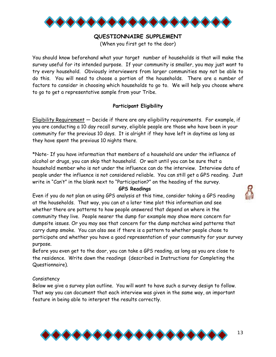

### **QUESTIONNAIRE SUPPLEMENT**

(When you first get to the door)

You should know beforehand what your target number of households is that will make the survey useful for its intended purpose. If your community is smaller, you may just want to try every household. Obviously interviewers from larger communities may not be able to do this. You will need to choose a portion of the households. There are a number of factors to consider in choosing which households to go to. We will help you choose where to go to get a representative sample from your Tribe.

### **Participant Eligibility**

Eligibility Requirement — Decide if there are any eligibility requirements. For example, if you are conducting a 10 day recall survey, eligible people are those who have been in your community for the previous 10 days. It is alright if they have left in daytime as long as they have spent the previous 10 nights there.

\*Note- If you have information that members of a household are under the influence of alcohol or drugs, you can skip that household. Or wait until you can be sure that a household member who is not under the influence can do the interview. Interview data of people under the influence is not considered reliable. You can still get a GPS reading. Just write in "Can't" in the blank next to "Participation?" on the heading of the survey.

#### **GPS Readings**

Even if you do not plan on using GPS analysis at this time, consider taking a GPS reading at the households. That way, you can at a later time plot this information and see whether there are patterns to how people answered that depend on where in the community they live. People nearer the dump for example may show more concern for dumpsite issues. Or you may see that concern for the dump matches wind patterns that carry dump smoke. You can also see if there is a pattern to whether people chose to participate and whether you have a good representation of your community for your survey purpose.

Before you even get to the door, you can take a GPS reading, as long as you are close to the residence. Write down the readings (described in Instructions for Completing the Questionnaire).

### Consistency

Below we give a survey plan outline. You will want to have such a survey design to follow. That way you can document that each interview was given in the same way, an important feature in being able to interpret the results correctly.



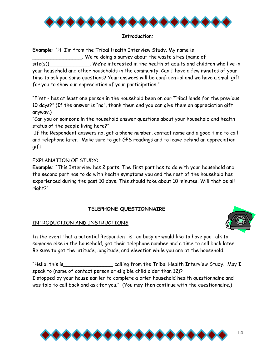

#### **Introduction:**

**Example:** "Hi I'm from the Tribal Health Interview Study. My name is \_\_\_\_\_\_\_\_\_\_\_\_\_\_\_\_. We're doing a survey about the waste sites (name of

 $\textsf{site}(s)$  . We're interested in the health of adults and children who live in your household and other households in the community. Can I have a few minutes of your time to ask you some questions? Your answers will be confidential and we have a small gift for you to show our appreciation of your participation."

"First - has at least one person in the household been on our Tribal lands for the previous 10 days?" (If the answer is "no", thank them and you can give them an appreciation gift anyway.)

"Can you or someone in the household answer questions about your household and health status of the people living here?"

 If the Respondent answers no, get a phone number, contact name and a good time to call and telephone later. Make sure to get GPS readings and to leave behind an appreciation gift.

### EXPLANATION OF STUDY:

**Example:** "This Interview has 2 parts. The first part has to do with your household and the second part has to do with health symptoms you and the rest of the household has experienced during the past 10 days. This should take about 10 minutes. Will that be all right?"

### **TELEPHONE QUESTIONNAIRE**

#### INTRODUCTION AND INSTRUCTIONS



In the event that a potential Respondent is too busy or would like to have you talk to someone else in the household, get their telephone number and a time to call back later. Be sure to get the latitude, longitude, and elevation while you are at the household.

"Hello, this is\_\_\_\_\_\_\_\_\_\_\_\_\_\_\_\_ calling from the Tribal Health Interview Study. May I speak to (name of contact person or eligible child older than 12)? I stopped by your house earlier to complete a brief household health questionnaire and was told to call back and ask for you." (You may then continue with the questionnaire.)

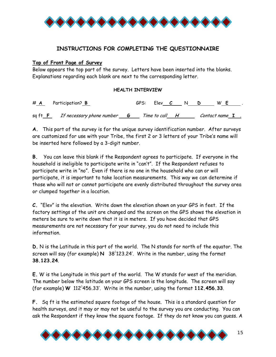

### **INSTRUCTIONS FOR COMPLETING THE QUESTIONNAIRE**

### **Top of Front Page of Survey**

Below appears the top part of the survey. Letters have been inserted into the blanks. Explanations regarding each blank are next to the corresponding letter.

### **HEALTH INTERVIEW**

# **A** Participation? **B** GPS: Elev **C** N **D** W **E** . sq ft **F** If necessary phone number **G** Time to call **H** Contact name **I** .

**A.** This part of the survey is for the unique survey identification number. After surveys are customized for use with your Tribe, the first 2 or 3 letters of your Tribe's name will be inserted here followed by a 3-digit number.

**B.** You can leave this blank if the Respondent agrees to participate. If everyone in the household is ineligible to participate write in "can't". If the Respondent refuses to participate write in "no". Even if there is no one in the household who can or will participate, it is important to take location measurements. This way we can determine if those who will not or cannot participate are evenly distributed throughout the survey area or clumped together in a location.

**C.** "Elev" is the elevation. Write down the elevation shown on your GPS in feet. If the factory settings of the unit are changed and the screen on the GPS shows the elevation in meters be sure to write down that it is in meters. If you have decided that GPS measurements are not necessary for your survey, you do not need to include this information.

**D.** N is the Latitude in this part of the world. The N stands for north of the equator. The screen will say (for example) **N** 38◊ 123.24'. Write in the number, using the format **38.123.24**.

**E.** W is the Longitude in this part of the world. The W stands for west of the meridian. The number below the latitude on your GPS screen is the longitude. The screen will say (for example) **W** 112◊ 456.33'. Write in the number, using the format **112.456.33**.

**F.** Sq ft is the estimated square footage of the house. This is a standard question for health surveys, and it may or may not be useful to the survey you are conducting. You can ask the Respondent if they know the square footage. If they do not know you can guess. A

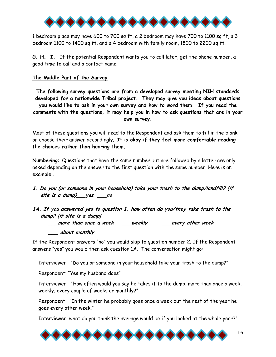

1 bedroom place may have 600 to 700 sq ft, a 2 bedroom may have 700 to 1100 sq ft, a 3 bedroom 1100 to 1400 sq ft, and a 4 bedroom with family room, 1800 to 2200 sq ft.

**G. H. I.** If the potential Respondent wants you to call later, get the phone number, a good time to call and a contact name.

### **The Middle Part of the Survey**

**The following survey questions are from a developed survey meeting NIH standards developed for a nationwide Tribal project. They may give you ideas about questions you would like to ask in your own survey and how to word them. If you read the comments with the questions, it may help you in how to ask questions that are in your own survey.** 

Most of these questions you will read to the Respondent and ask them to fill in the blank or choose their answer accordingly. **It is okay if they feel more comfortable reading the choices rather than hearing them.** 

**Numbering**: Questions that have the same number but are followed by a letter are only asked depending on the answer to the first question with the same number. Here is an example .

- **1. Do you (or someone in your household) take your trash to the dump/landfill? {if site is a dump}\_\_\_yes \_\_\_no**
- **1A. If you answered yes to question 1, how often do you/they take trash to the dump? {if site is a dump} \_\_\_more than once a week \_\_\_weekly \_\_\_every other week \_\_\_ about monthly**

If the Respondent answers "no" you would skip to question number 2. If the Respondent answers "yes" you would then ask question 1A. The conversation might go:

Interviewer: "Do you or someone in your household take your trash to the dump?"

Respondent: "Yes my husband does"

Interviewer: "How often would you say he takes it to the dump, more than once a week, weekly, every couple of weeks or monthly?"

Respondent: "In the winter he probably goes once a week but the rest of the year he goes every other week."

Interviewer, what do you think the average would be if you looked at the whole year?"

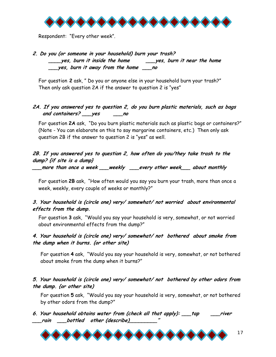

Respondent: "Every other week".

### **2. Do you (or someone in your household) burn your trash? \_\_\_\_yes, burn it inside the home \_\_\_yes, burn it near the home \_\_\_yes, burn it away from the home \_\_\_no**

For question **2** ask, " Do you or anyone else in your household burn your trash?" Then only ask question 2A if the answer to question 2 is "yes"

### **2A. If you answered yes to question 2, do you burn plastic materials, such as bags and containers? \_\_\_yes \_\_\_no**

For question **2A** ask, "Do you burn plastic materials such as plastic bags or containers?" (Note - You can elaborate on this to say margarine containers, etc.) Then only ask question 2B if the answer to question 2 is "yes" as well.

### **2B. If you answered yes to question 2, how often do you/they take trash to the dump? {if site is a dump}**

**\_\_\_more than once a week \_\_\_weekly \_\_\_every other week\_\_\_ about monthly**

For question **2B** ask, "How often would you say you burn your trash, more than once a week, weekly, every couple of weeks or monthly?"

### **3. Your household is (circle one) very/ somewhat/ not worried about environmental effects from the dump.**

For question **3** ask, "Would you say your household is very, somewhat, or not worried about environmental effects from the dump?"

### **4. Your household is (circle one) very/ somewhat/ not bothered about smoke from the dump when it burns. {or other site)**

For question **4** ask, "Would you say your household is very, somewhat, or not bothered about smoke from the dump when it burns?"

### **5. Your household is (circle one) very/ somewhat/ not bothered by other odors from the dump. {or other site)**

For question **5** ask, "Would you say your household is very, somewhat, or not bothered by other odors from the dump?"

**6. Your household obtains water from (check all that apply): \_\_\_tap \_\_\_river \_\_\_rain \_\_\_bottled other (describe)\_\_\_\_\_\_\_\_\_"** 

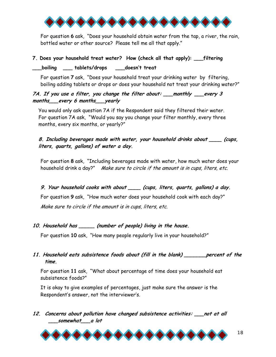

For question **6** ask, "Does your household obtain water from the tap, a river, the rain, bottled water or other source? Please tell me all that apply."

### **7. Does your household treat water? How (check all that apply): \_\_\_filtering**

boiling tablets/drops doesn't treat

For question **7** ask, "Does your household treat your drinking water by filtering, boiling adding tablets or drops or does your household not treat your drinking water?"

### **7A. If you use a filter, you change the filter about: \_\_\_monthly \_\_\_every 3 months\_\_\_every 6 months\_\_\_yearly**

You would only ask question 7A if the Respondent said they filtered their water. For question 7A ask, "Would you say you change your filter monthly, every three months, every six months, or yearly?"

**8. Including beverages made with water, your household drinks about \_\_\_\_ (cups, liters, quarts, gallons) of water a day.** 

For question **8** ask, "Including beverages made with water, how much water does your household drink a day?" Make sure to circle if the amount is in cups, liters, etc.

### **9. Your household cooks with about \_\_\_\_ (cups, liters, quarts, gallons) a day.**

For question **9** ask, "How much water does your household cook with each day?" Make sure to circle if the amount is in cups, liters, etc.

### **10. Household has \_\_\_\_\_ (number of people) living in the house.**

For question **10** ask, "How many people regularly live in your household?"

### **11. Household eats subsistence foods about (fill in the blank) \_\_\_\_\_\_\_percent of the time.**

For question **11** ask, "What about percentage of time does your household eat subsistence foods?"

It is okay to give examples of percentages, just make sure the answer is the Respondent's answer, not the interviewer's.

**12. Concerns about pollution have changed subsistence activities: \_\_\_not at all \_\_\_somewhat \_\_\_a lot** 



18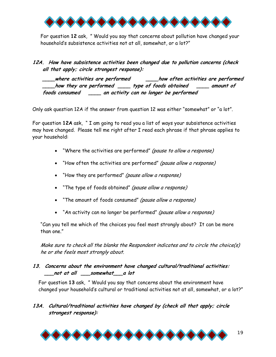

For question **12** ask, " Would you say that concerns about pollution have changed your household's subsistence activities not at all, somewhat, or a lot?"

**12A. How have subsistence activities been changed due to pollution concerns (check all that apply; circle strongest response):** 

 **\_\_\_\_where activities are performed \_\_\_\_how often activities are performed \_\_\_\_how they are performed \_\_\_\_ type of foods obtained \_\_\_\_ amount of foods consumed \_\_\_\_ an activity can no longer be performed** 

Only ask question 12A if the answer from question 12 was either "somewhat" or "a lot".

For question **12A** ask, " I am going to read you a list of ways your subsistence activities may have changed. Please tell me right after I read each phrase if that phrase applies to your household:

- "Where the activities are performed" (pause to allow a response)
- "How often the activities are performed" (pause allow a response)
- "How they are performed" (pause allow a response)
- "The type of foods obtained" (pause allow a response)
- "The amount of foods consumed" (pause allow a response)
- "An activity can no longer be performed" (pause allow a response)

"Can you tell me which of the choices you feel most strongly about? It can be more than one."

Make sure to check all the blanks the Respondent indicates and to circle the choice(s) he or she feels most strongly about.

### **13. Concerns about the environment have changed cultural/traditional activities: \_\_\_not at all \_\_\_somewhat \_\_\_a lot**

For question **13** ask, " Would you say that concerns about the environment have changed your household's cultural or traditional activities not at all, somewhat, or a lot?"

### **13A. Cultural/traditional activities have changed by (check all that apply; circle strongest response):**

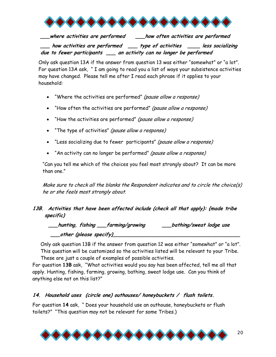

**\_\_\_where activities are performed \_\_\_how often activities are performed \_\_\_ how activities are performed \_\_\_ type of activities \_\_\_\_ less socializing due to fewer participants \_\_\_ an activity can no longer be performed**

Only ask question 13A if the answer from question 13 was either "somewhat" or "a lot". For question 13A ask, " I am going to read you a list of ways your subsistence activities may have changed. Please tell me after I read each phrase if it applies to your household:

- "Where the activities are performed" (pause allow a response)
- "How often the activities are performed" (pause allow a response)
- "How the activities are performed" (pause allow a response)
- "The type of activities" (pause allow a response)
- "Less socializing due to fewer participants" (pause allow a response)
- "An activity can no longer be performed" (pause allow a response)

"Can you tell me which of the choices you feel most strongly about? It can be more than one."

Make sure to check all the blanks the Respondent indicates and to circle the choice(s) he or she feels most strongly about.

### **13B. Activities that have been affected include (check all that apply): {made tribe specific)**

**\_\_\_hunting, fishing \_\_\_farming/growing \_\_\_bathing/sweat lodge use \_\_\_other (please specify)\_\_\_\_\_\_\_\_\_\_\_\_\_\_\_\_\_\_\_\_\_\_\_\_\_\_\_\_\_\_\_\_\_\_\_\_\_\_\_\_\_**

Only ask question 13B if the answer from question 12 was either "somewhat" or "a lot". This question will be customized so the activities listed will be relevant to your Tribe.

These are just a couple of examples of possible activities.

For question **13B** ask, "What activities would you say has been affected, tell me all that apply. Hunting, fishing, farming, growing, bathing, sweat lodge use. Can you think of anything else not on this list?"

### **14. Household uses (circle one) outhouses/ honeybuckets / flush toilets.**

For question **14** ask, " Does your household use an outhouse, honeybuckets or flush toilets?" "This question may not be relevant for some Tribes.)

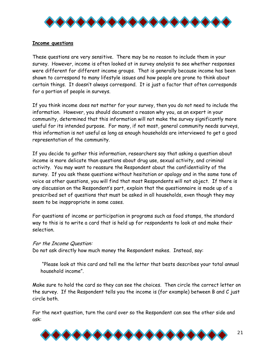

### **Income questions**

These questions are very sensitive. There may be no reason to include them in your survey. However, income is often looked at in survey analysis to see whether responses were different for different income groups. That is generally because income has been shown to correspond to many lifestyle issues and how people are prone to think about certain things. It doesn't always correspond. It is just a factor that often corresponds for a portion of people in surveys.

If you think income does not matter for your survey, then you do not need to include the information. However, you should document a reason why you, as an expert in your community, determined that this information will not make the survey significantly more useful for its intended purpose. For many, if not most, general community needs surveys, this information is not useful as long as enough households are interviewed to get a good representation of the community.

If you decide to gather this information, researchers say that asking a question about income is more delicate than questions about drug use, sexual activity, and criminal activity. You may want to reassure the Respondent about the confidentiality of the survey. If you ask these questions without hesitation or apology and in the same tone of voice as other questions, you will find that most Respondents will not object. If there is any discussion on the Respondent's part, explain that the questionnaire is made up of a prescribed set of questions that must be asked in all households, even though they may seem to be inappropriate in some cases.

For questions of income or participation in programs such as food stamps, the standard way to this is to write a card that is held up for respondents to look at and make their selection.

### For the Income Question:

Do not ask directly how much money the Respondent makes. Instead, say:

 "Please look at this card and tell me the letter that bests describes your total annual household income".

Make sure to hold the card so they can see the choices. Then circle the correct letter on the survey. If the Respondent tells you the income is (for example) between B and C just circle both.

For the next question, turn the card over so the Respondent can see the other side and ask:

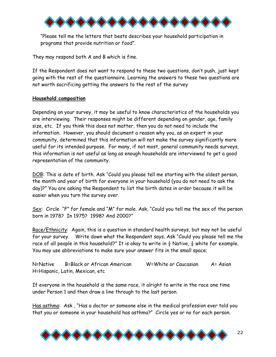

"Please tell me the letters that bests describes your household participation in programs that provide nutrition or food".

They may respond both A and B which is fine.

If the Respondent does not want to respond to these two questions, don't push, just kept going with the rest of the questionnaire. Learning the answers to these two questions are not worth sacrificing getting the answers to the rest of the survey

#### **Household composition**

Depending on your survey, it may be useful to know characteristics of the households you are interviewing. Their responses might be different depending on gender, age, family size, etc. If you think this does not matter, then you do not need to include the information. However, you should document a reason why you, as an expert in your community, determined that this information will not make the survey significantly more useful for its intended purpose. For many, if not most, general community needs surveys, this information is not useful as long as enough households are interviewed to get a good representation of the community.

DOB: This is date of birth. Ask "Could you please tell me starting with the oldest person, the month and year of birth for everyone in your household (you do not need to ask the day)?" You are asking the Respondent to list the birth dates in order because it will be easier when you turn the survey over.

Sex: Circle "F" for female and "M" for male. Ask, "Could you tell me the sex of the person born in 1978? In 1975? 1998? And 2000?"

Race/Ethnicity: Again, this is a question in standard health surveys, but may not be useful for your survey. Write down what the Respondent says. Ask "Could you please tell me the race of all people in this household?" It is okay to write in  $\frac{1}{2}$  Native,  $\frac{1}{2}$  white for example. You may use abbreviations to make sure your answer fits in the small space;

N=Native B=Black or African American W=White or Caucasian A= Asian H=Hispanic, Latin, Mexican, etc

If everyone in the household is the same race, it alright to write in the race one time under Person 1 and then draw a line through to the last person.

Has asthma: Ask , "Has a doctor or someone else in the medical profession ever told you that you or someone in your household has asthma?" Circle yes or no for each person.

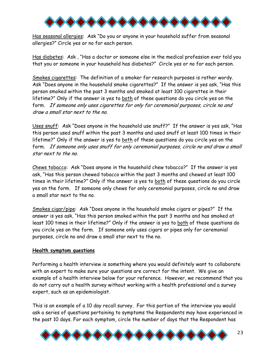

Has seasonal allergies: Ask "Do you or anyone in your household suffer from seasonal allergies?" Circle yes or no for each person.

Has diabetes: Ask , "Has a doctor or someone else in the medical profession ever told you that you or someone in your household has diabetes?" Circle yes or no for each person.

Smokes cigarettes: The definition of a smoker for research purposes is rather wordy. Ask "Does anyone in the household smoke cigarettes?" If the answer is yes ask, "Has this person smoked within the past 3 months and smoked at least 100 cigarettes in their lifetime?" Only if the answer is yes to both of these questions do you circle yes on the form. If someone only uses cigarettes for only for ceremonial purposes, circle no and draw a small star next to the no.

Uses snuff: Ask "Does anyone in the household use snuff?" If the answer is yes ask, "Has this person used snuff within the past 3 months and used snuff at least 100 times in their lifetime?" Only if the answer is yes to both of these questions do you circle yes on the form. If someone only uses snuff for only ceremonial purposes, circle no and draw a small star next to the no.

Chews tobacco: Ask "Does anyone in the household chew tobacco?" If the answer is yes ask, "Has this person chewed tobacco within the past 3 months and chewed at least 100 times in their lifetime?" Only if the answer is yes to both of these questions do you circle yes on the form. If someone only chews for only ceremonial purposes, circle no and draw a small star next to the no.

Smokes cigar/pipe: Ask "Does anyone in the household smoke cigars or pipes?" If the answer is yes ask, "Has this person smoked within the past 3 months and has smoked at least 100 times in their lifetime?" Only if the answer is yes to both of these questions do you circle yes on the form. If someone only uses cigars or pipes only for ceremonial purposes, circle no and draw a small star next to the no.

#### **Health symptom questions**

Performing a health interview is something where you would definitely want to collaborate with an expert to make sure your questions are correct for the intent. We give an example of a health interview below for your reference. However, we recommend that you do not carry out a health survey without working with a health professional and a survey expert, such as an epidemiologist.

This is an example of a 10 day recall survey. For this portion of the interview you would ask a series of questions pertaining to symptoms the Respondents may have experienced in the past 10 days. For each symptom, circle the number of days that the Respondent has

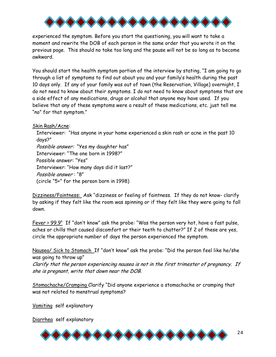

experienced the symptom. Before you start the questioning, you will want to take a moment and rewrite the DOB of each person in the same order that you wrote it on the previous page. This should no take too long and the pause will not be so long as to become awkward.

You should start the health symptom portion of the interview by stating, "I am going to go through a list of symptoms to find out about you and your family's health during the past 10 days only. If any of your family was out of town (the Reservation, Village) overnight, I do not need to know about their symptoms. I do not need to know about symptoms that are a side effect of any medications, drugs or alcohol that anyone may have used. If you believe that any of these symptoms were a result of these medications, etc. just tell me "no" for that symptom."

Skin Rash/Acne:

Interviewer: "Has anyone in your home experienced a skin rash or acne in the past 10 days?"

Possible answer: "Yes my daughter has" Interviewer: "The one born in 1998?" Possible answer: "Yes" Interviewer: "How many days did it last?"

Possible answer : "8" (circle "5+" for the person born in 1998)

Dizziness/Faintness: Ask "dizziness or feeling of faintness. If they do not know- clarify by asking if they felt like the room was spinning or if they felt like they were going to fall down.

Fever >  $99.9^{\circ}$  If "don't know" ask the probe: "Was the person very hot, have a fast pulse, aches or chills that caused discomfort or their teeth to chatter?" If 2 of these are yes, circle the appropriate number of days the person experienced the symptom.

Nausea/ Sick to Stomach If "don't know" ask the probe: "Did the person feel like he/she was going to throw up"

Clarify that the person experiencing nausea is not in the first trimester of pregnancy. If she is pregnant, write that down near the DOB.

Stomachache/Cramping Clarify "Did anyone experience a stomachache or cramping that was not related to menstrual symptoms?

Vomiting self explanatory

Diarrhea self explanatory

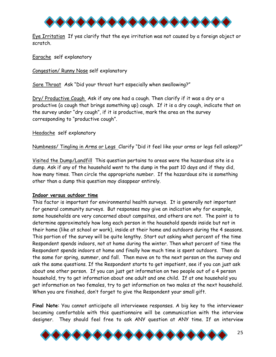

Eye Irritation If yes clarify that the eye irritation was not caused by a foreign object or scratch.

Earache self explanatory

Congestion/ Runny Nose self explanatory

Sore Throat Ask "Did your throat hurt especially when swallowing?"

Dry/ Productive Cough Ask if any one had a cough. Then clarify if it was a dry or a productive (a cough that brings something up) cough. If it is a dry cough, indicate that on the survey under "dry cough", if it is productive, mark the area on the survey corresponding to "productive cough".

Headache self explanatory

Numbness/ Tingling in Arms or Legs Clarify "Did it feel like your arms or legs fell asleep?"

Visited the Dump/Landfill This question pertains to areas were the hazardous site is a dump. Ask if any of the household went to the dump in the past 10 days and if they did, how many times. Then circle the appropriate number. If the hazardous site is something other than a dump this question may disappear entirely.

### **Indoor versus outdoor time**

This factor is important for environmental health surveys. It is generally not important for general community surveys. But responses may give an indication why for example, some households are very concerned about campsites, and others are not. The point is to determine approximately how long each person in the household spends inside but not in their home (like at school or work), inside at their home and outdoors during the 4 seasons. This portion of the survey will be quite lengthy. Start out asking what percent of the time Respondent spends indoors, not at home during the winter. Then what percent of time the Respondent spends indoors at home and finally how much time is spent outdoors. Then do the same for spring, summer, and fall. Then move on to the next person on the survey and ask the same questions. If the Respondent starts to get impatient, see if you can just ask about one other person. If you can just get information on two people out of a 4 person household, try to get information about one adult and one child. If at one household you get information on two females, try to get information on two males at the next household. When you are finished, don't forget to give the Respondent your small gift.

**Final Note**: You cannot anticipate all interviewee responses. A big key to the interviewer becoming comfortable with this questionnaire will be communication with the interview designer. They should feel free to ask ANY question at ANY time. If an interview